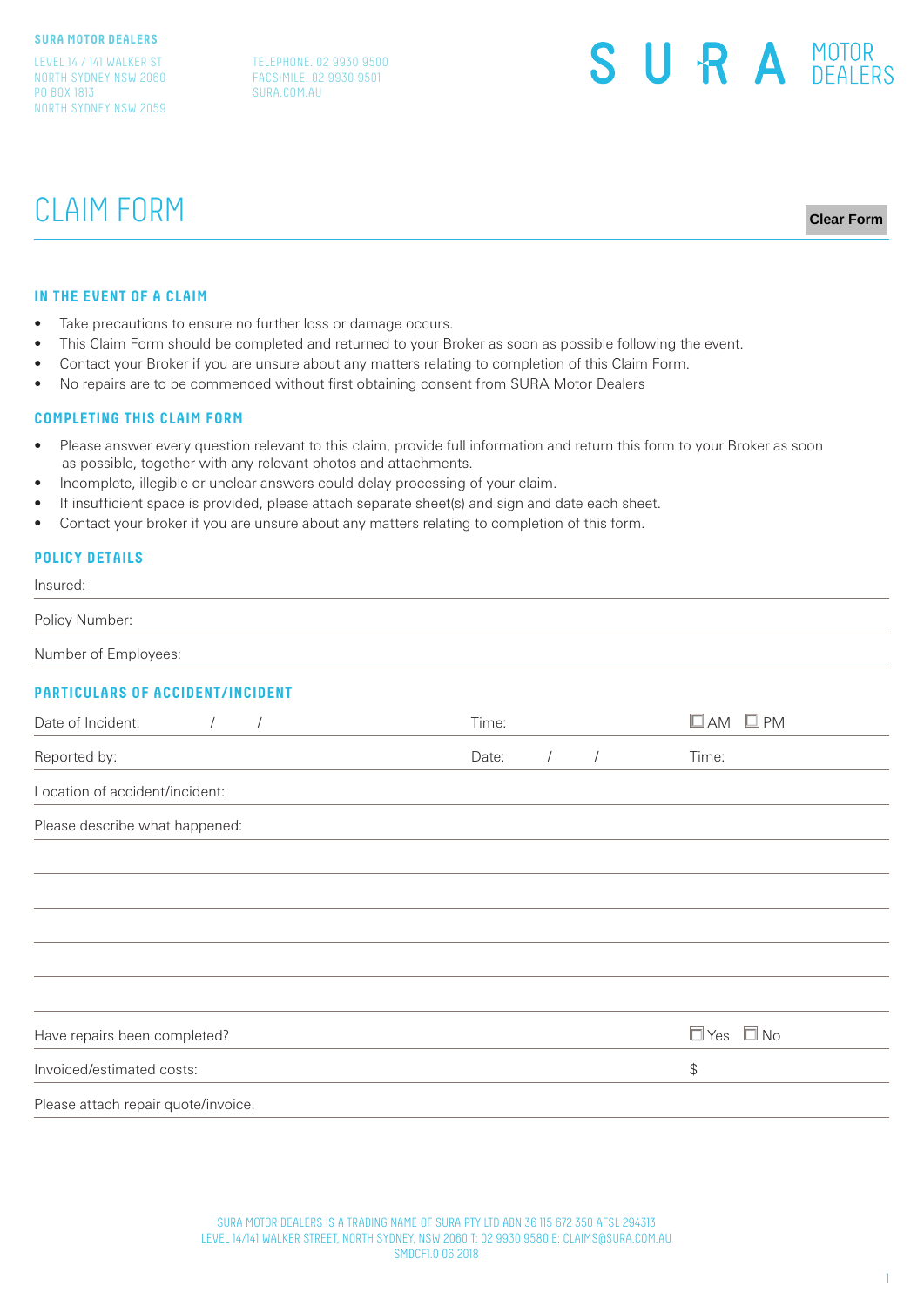LEVEL 14 / 141 WALKER ST NORTH SYDNEY NSW 2060 PO BOX 1813 NORTH SYDNEY NSW 2059

TELEPHONE. 02 9930 9500 FACSIMILE. 02 9930 9501 SURA.COM.AU



# CLAIM FORM

**Clear Form**

#### **IN THE EVENT OF A CLAIM**

- Take precautions to ensure no further loss or damage occurs.
- This Claim Form should be completed and returned to your Broker as soon as possible following the event.
- Contact your Broker if you are unsure about any matters relating to completion of this Claim Form.
- No repairs are to be commenced without first obtaining consent from SURA Motor Dealers

#### **COMPLETING THIS CLAIM FORM**

- Please answer every question relevant to this claim, provide full information and return this form to your Broker as soon as possible, together with any relevant photos and attachments.
- Incomplete, illegible or unclear answers could delay processing of your claim.
- If insufficient space is provided, please attach separate sheet(s) and sign and date each sheet.
- Contact your broker if you are unsure about any matters relating to completion of this form.

# **POLICY DETAILS**

Insured:

Policy Number:

Number of Employees:

## **PARTICULARS OF ACCIDENT/INCIDENT**

| Date of Incident:                   | Time: |            |            | $\square$ AM<br>$\square$ PM |
|-------------------------------------|-------|------------|------------|------------------------------|
| Reported by:                        | Date: | $\sqrt{2}$ | $\sqrt{2}$ | Time:                        |
| Location of accident/incident:      |       |            |            |                              |
| Please describe what happened:      |       |            |            |                              |
|                                     |       |            |            |                              |
|                                     |       |            |            |                              |
|                                     |       |            |            |                              |
|                                     |       |            |            |                              |
|                                     |       |            |            |                              |
| Have repairs been completed?        |       |            |            | $\Box$ Yes $\Box$ No         |
| Invoiced/estimated costs:           |       |            |            | \$                           |
| Please attach repair quote/invoice. |       |            |            |                              |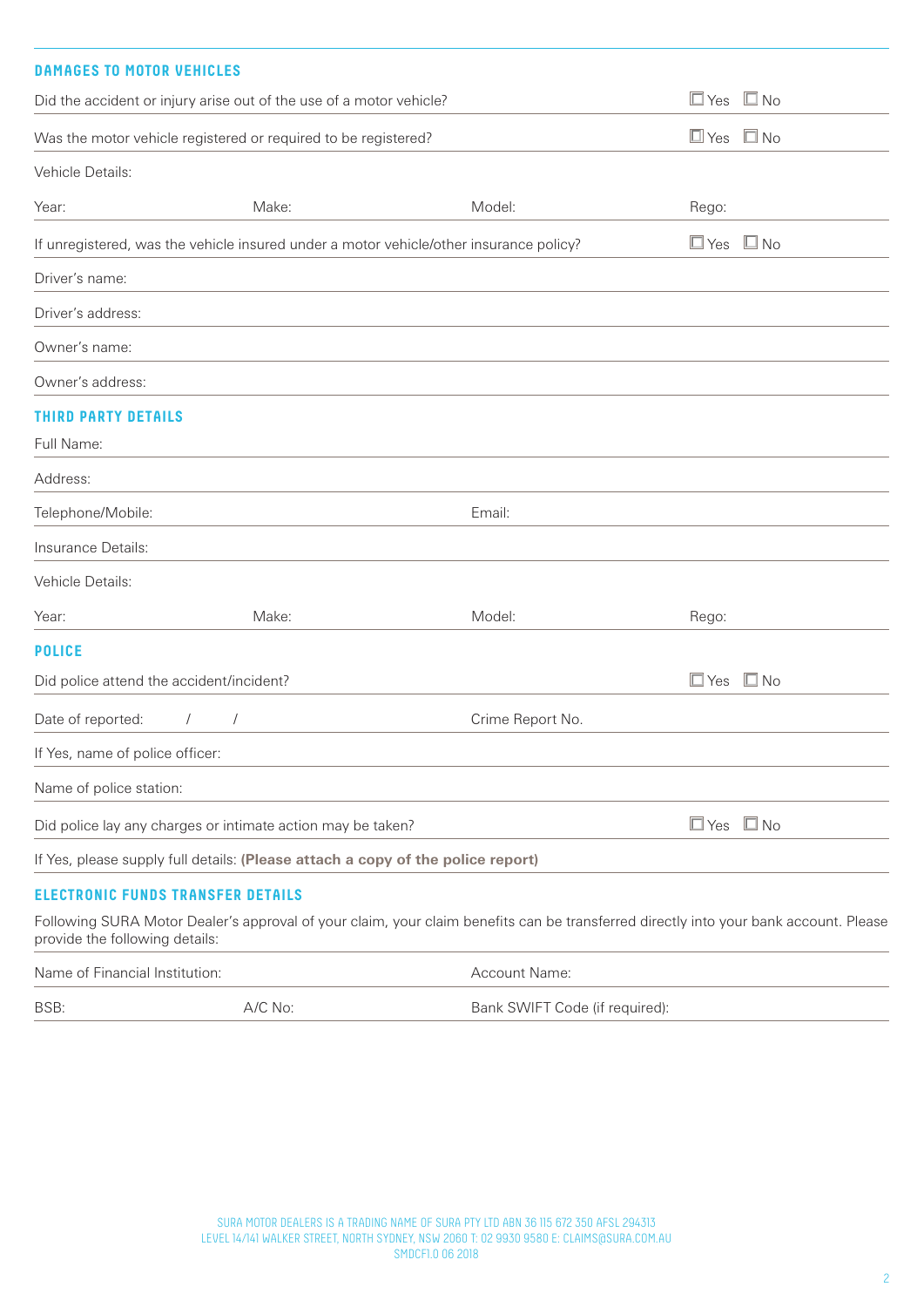| <b>DAMAGES TO MOTOR VEHICLES</b>                                                                                                                                       |                                                                |                                                                                        |                      |              |
|------------------------------------------------------------------------------------------------------------------------------------------------------------------------|----------------------------------------------------------------|----------------------------------------------------------------------------------------|----------------------|--------------|
| Did the accident or injury arise out of the use of a motor vehicle?                                                                                                    |                                                                |                                                                                        | $\Box$ Yes           | $\square$ No |
|                                                                                                                                                                        | Was the motor vehicle registered or required to be registered? |                                                                                        | $\Box$ Yes $\Box$ No |              |
| Vehicle Details:                                                                                                                                                       |                                                                |                                                                                        |                      |              |
| Year:                                                                                                                                                                  | Make:                                                          | Model:                                                                                 | Rego:                |              |
|                                                                                                                                                                        |                                                                | If unregistered, was the vehicle insured under a motor vehicle/other insurance policy? | $\square$ Yes        | $\square$ No |
| Driver's name:                                                                                                                                                         |                                                                |                                                                                        |                      |              |
| Driver's address:                                                                                                                                                      |                                                                |                                                                                        |                      |              |
| Owner's name:                                                                                                                                                          |                                                                |                                                                                        |                      |              |
| Owner's address:                                                                                                                                                       |                                                                |                                                                                        |                      |              |
| <b>THIRD PARTY DETAILS</b>                                                                                                                                             |                                                                |                                                                                        |                      |              |
| Full Name:                                                                                                                                                             |                                                                |                                                                                        |                      |              |
| Address:                                                                                                                                                               |                                                                |                                                                                        |                      |              |
| Telephone/Mobile:                                                                                                                                                      |                                                                | Email:                                                                                 |                      |              |
| Insurance Details:                                                                                                                                                     |                                                                |                                                                                        |                      |              |
| Vehicle Details:                                                                                                                                                       |                                                                |                                                                                        |                      |              |
| Year:                                                                                                                                                                  | Make:                                                          | Model:                                                                                 | Rego:                |              |
| <b>POLICE</b>                                                                                                                                                          |                                                                |                                                                                        |                      |              |
| Did police attend the accident/incident?                                                                                                                               |                                                                |                                                                                        | $\Box$ Yes $\Box$ No |              |
| Date of reported:                                                                                                                                                      | $\sqrt{2}$                                                     | Crime Report No.                                                                       |                      |              |
| If Yes, name of police officer:                                                                                                                                        |                                                                |                                                                                        |                      |              |
| Name of police station:                                                                                                                                                |                                                                |                                                                                        |                      |              |
|                                                                                                                                                                        | Did police lay any charges or intimate action may be taken?    |                                                                                        | $\Box$ Yes $\Box$ No |              |
| If Yes, please supply full details: (Please attach a copy of the police report)                                                                                        |                                                                |                                                                                        |                      |              |
| <b>ELECTRONIC FUNDS TRANSFER DETAILS</b>                                                                                                                               |                                                                |                                                                                        |                      |              |
| Following SURA Motor Dealer's approval of your claim, your claim benefits can be transferred directly into your bank account. Please<br>provide the following details: |                                                                |                                                                                        |                      |              |

| Name of Financial Institution: |           | Account Name:                  |
|--------------------------------|-----------|--------------------------------|
| BSB:                           | $A/C$ No: | Bank SWIFT Code (if required): |